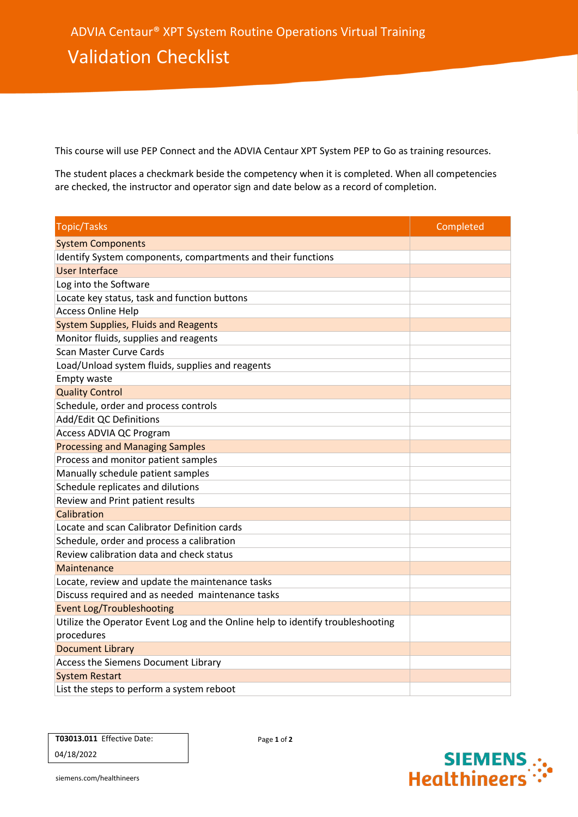This course will use PEP Connect and the ADVIA Centaur XPT System PEP to Go as training resources.

The student places a checkmark beside the competency when it is completed. When all competencies are checked, the instructor and operator sign and date below as a record of completion.

| <b>Topic/Tasks</b>                                                             | Completed |
|--------------------------------------------------------------------------------|-----------|
| <b>System Components</b>                                                       |           |
| Identify System components, compartments and their functions                   |           |
| <b>User Interface</b>                                                          |           |
| Log into the Software                                                          |           |
| Locate key status, task and function buttons                                   |           |
| <b>Access Online Help</b>                                                      |           |
| <b>System Supplies, Fluids and Reagents</b>                                    |           |
| Monitor fluids, supplies and reagents                                          |           |
| Scan Master Curve Cards                                                        |           |
| Load/Unload system fluids, supplies and reagents                               |           |
| Empty waste                                                                    |           |
| <b>Quality Control</b>                                                         |           |
| Schedule, order and process controls                                           |           |
| Add/Edit QC Definitions                                                        |           |
| Access ADVIA QC Program                                                        |           |
| <b>Processing and Managing Samples</b>                                         |           |
| Process and monitor patient samples                                            |           |
| Manually schedule patient samples                                              |           |
| Schedule replicates and dilutions                                              |           |
| Review and Print patient results                                               |           |
| Calibration                                                                    |           |
| Locate and scan Calibrator Definition cards                                    |           |
| Schedule, order and process a calibration                                      |           |
| Review calibration data and check status                                       |           |
| Maintenance                                                                    |           |
| Locate, review and update the maintenance tasks                                |           |
| Discuss required and as needed maintenance tasks                               |           |
| <b>Event Log/Troubleshooting</b>                                               |           |
| Utilize the Operator Event Log and the Online help to identify troubleshooting |           |
| procedures                                                                     |           |
| <b>Document Library</b>                                                        |           |
| Access the Siemens Document Library                                            |           |
| <b>System Restart</b>                                                          |           |
| List the steps to perform a system reboot                                      |           |

|            | <b>T03013.011 Effective Date:</b> |
|------------|-----------------------------------|
| 04/18/2022 |                                   |

Page **1** of **2**



siemens.com/healthineers